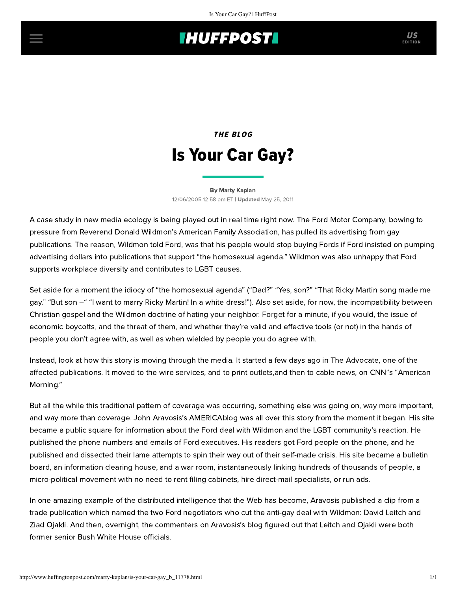## **INUFFPOSTI** US

## THE BLOG Is Your Car Gay?

[By Marty Kaplan](http://www.huffingtonpost.com/author/marty-kaplan) 12/06/2005 12:58 pm ET | Updated May 25, 2011

A case study in new media ecology is being played out in real time right now. The Ford Motor Company, bowing to pressure from Reverend Donald Wildmon's American Family Association, has pulled its advertising from gay publications. The reason, Wildmon told Ford, was that his people would stop buying Fords if Ford insisted on pumping advertising dollars into publications that support "the homosexual agenda." Wildmon was also unhappy that Ford supports workplace diversity and contributes to LGBT causes.

Set aside for a moment the idiocy of "the homosexual agenda" ("Dad?" "Yes, son?" "That Ricky Martin song made me gay." "But son –" "I want to marry Ricky Martin! In a white dress!"). Also set aside, for now, the incompatibility between Christian gospel and the Wildmon doctrine of hating your neighbor. Forget for a minute, if you would, the issue of economic boycotts, and the threat of them, and whether they're valid and effective tools (or not) in the hands of people you don't agree with, as well as when wielded by people you do agree with.

Instead, look at how this story is moving through the media. It started a few days ago in [The Advocate,](http://www.advocate.com/news_detail_ektid23064.asp) one of the [affected publications. It moved to the](http://transcripts.cnn.com/TRANSCRIPTS/2005.12.06.html) [wire](http://sfgate.com/cgi-bin/article.cgi?f=/news/archive/2005/12/06/financial/f063215S52.DTL&type=business)[services](http://sfgate.com/cgi-bin/article.cgi?f=/news/archive/2005/12/06/financial/f063215S52.DTL&type=business)[, and to p](http://transcripts.cnn.com/TRANSCRIPTS/2005.12.06.html)[rint](http://www.nytimes.com/2005/12/06/business/media/06ford.html) [outlets,and then to cable news, on CNN"s](http://transcripts.cnn.com/TRANSCRIPTS/2005.12.06.html) "American Morning."

But all the while this traditional pattern of coverage was occurring, something else was going on, way more important, and way more than coverage. John Aravosis's [AMERICAblog](http://americablog.blogspot.com/) was all over this story from the moment it began. His site became a public square for information about the Ford deal with Wildmon and the LGBT community's reaction. He published the phone numbers and emails of Ford executives. His readers got Ford people on the phone, and he published and dissected their lame attempts to spin their way out of their self-made crisis. His site became a bulletin board, an information clearing house, and a war room, instantaneously linking hundreds of thousands of people, a micro-political movement with no need to rent filing cabinets, hire direct-mail specialists, or run ads.

In one amazing example of the distributed intelligence that the Web has become, Aravosis published a clip from a [trade publication](http://wardsauto.com/ar/auto_ford_averts_potential/) which named the two Ford negotiators who cut the anti-gay deal with Wildmon: David Leitch and Ziad Ojakli. And then, overnight, the [commenters on Aravosis's blog](http://americablog.blogspot.com/2005/12/former-senior-bush-white-house.html) figured out that Leitch and Ojakli were both former senior Bush White House officials.